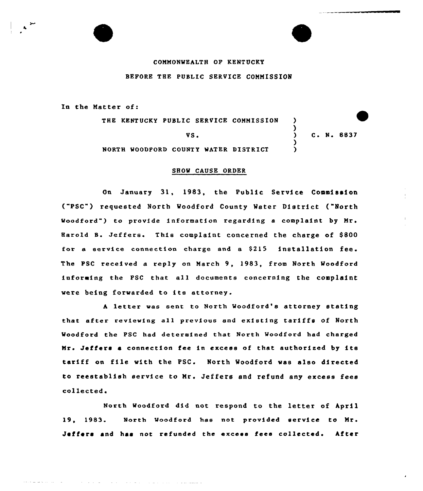## COMMONWEALTH OF KENTUCKY BEFORE THE PUBLIC SERVICE COMMISSION

In the Matter of:

THE KENTUCKY PUBLIC SERVICE COMMISSION )  $\lambda$ C. N. 8837 VS. ) WOODPORD COUNTY WATER DISTRICT )

## SHOW CAUSE ORDER

On January 31, 1983, the Public Service Commission ("PSC") requested North Woodford County Water District ("North Woodford") to provide information xegaxding a complaint by Mr. Harold B. Jeffers. This complaint concerned the charge of S800 for a service connection charge and a  $$215$  installation fee. The PSC received a reply on March 9, 1983, from North Woodford informing the PSC that all documents concerning the complaint were being forwarded to ite attorney.

<sup>A</sup> letter was sent to North Woodford's attorney stating that after reviewing a11 previous and existing tariffs of North Woodford the PSC had determined that North Woodford had charged Mrs Jeffers <sup>a</sup> connection fee in excess of that authorised by ite tariff on file with the PSC. North Woodford was also directed to reestablish service to Mr. Jeffers and refund any excess fees collected.

Woodford did not respond to the letter of April 19, 1983. North Woodford has not provided service to Mr. Jeffers and has not refunded the excess fees collected. After

والطلطة للمالور والرادي والمرابط والمرادي والمتراوي والمتحدة